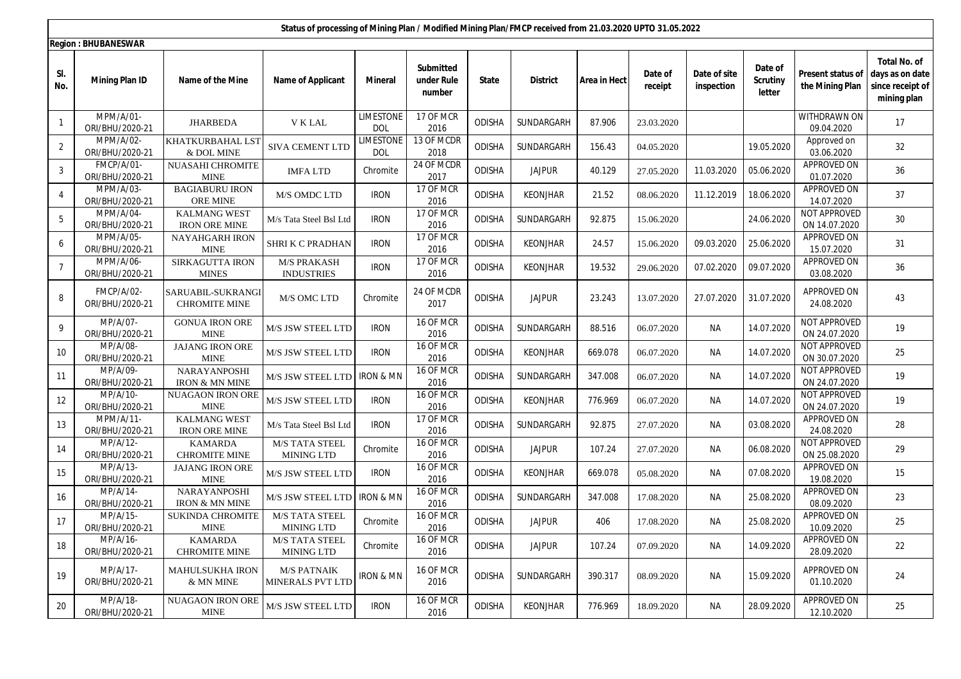|                | Status of processing of Mining Plan / Modified Mining Plan/FMCP received from 21.03.2020 UPTO 31.05.2022 |                                             |                                               |                                |                                   |               |                 |              |                    |                            |                                      |                                      |                                                                           |
|----------------|----------------------------------------------------------------------------------------------------------|---------------------------------------------|-----------------------------------------------|--------------------------------|-----------------------------------|---------------|-----------------|--------------|--------------------|----------------------------|--------------------------------------|--------------------------------------|---------------------------------------------------------------------------|
|                | <b>Region: BHUBANESWAR</b>                                                                               |                                             |                                               |                                |                                   |               |                 |              |                    |                            |                                      |                                      |                                                                           |
| SI.<br>No.     | <b>Mining Plan ID</b>                                                                                    | Name of the Mine                            | <b>Name of Applicant</b>                      | <b>Mineral</b>                 | Submitted<br>under Rule<br>number | State         | <b>District</b> | Area in Hect | Date of<br>receipt | Date of site<br>inspection | Date of<br><b>Scrutiny</b><br>letter | Present status of<br>the Mining Plan | <b>Total No. of</b><br>days as on date<br>since receipt of<br>mining plan |
| $\mathbf{1}$   | MPM/A/01-<br>ORI/BHU/2020-21                                                                             | <b>JHARBEDA</b>                             | V K LAL                                       | <b>LIMESTONE</b><br>DOL        | 17 OF MCR<br>2016                 | <b>ODISHA</b> | SUNDARGARH      | 87.906       | 23.03.2020         |                            |                                      | WITHDRAWN ON<br>09.04.2020           | 17                                                                        |
| $\overline{2}$ | MPM/A/02-<br>ORI/BHU/2020-21                                                                             | KHATKURBAHAL LST<br>& DOL MINE              | SIVA CEMENT LTD                               | <b>LIMESTONE</b><br><b>DOL</b> | 13 OF MCDR<br>2018                | <b>ODISHA</b> | SUNDARGARH      | 156.43       | 04.05.2020         |                            | 19.05.2020                           | Approved on<br>03.06.2020            | 32                                                                        |
| 3              | FMCP/A/01-<br>ORI/BHU/2020-21                                                                            | NUASAHI CHROMITE<br><b>MINE</b>             | <b>IMFALTD</b>                                | Chromite                       | 24 OF MCDR<br>2017                | <b>ODISHA</b> | <b>JAJPUR</b>   | 40.129       | 27.05.2020         | 11.03.2020                 | 05.06.2020                           | APPROVED ON<br>01.07.2020            | 36                                                                        |
| $\overline{4}$ | MPM/A/03-<br>ORI/BHU/2020-21                                                                             | <b>BAGIABURU IRON</b><br><b>ORE MINE</b>    | M/S OMDC LTD                                  | <b>IRON</b>                    | 17 OF MCR<br>2016                 | <b>ODISHA</b> | <b>KEONJHAR</b> | 21.52        | 08.06.2020         | 11.12.2019                 | 18.06.2020                           | APPROVED ON<br>14.07.2020            | 37                                                                        |
| 5              | MPM/A/04-<br>ORI/BHU/2020-21                                                                             | <b>KALMANG WEST</b><br><b>IRON ORE MINE</b> | M/s Tata Steel Bsl Ltd                        | <b>IRON</b>                    | 17 OF MCR<br>2016                 | <b>ODISHA</b> | SUNDARGARH      | 92.875       | 15.06.2020         |                            | 24.06.2020                           | NOT APPROVED<br>ON 14.07.2020        | 30                                                                        |
| 6              | MPM/A/05-<br>ORI/BHU/2020-21                                                                             | <b>NAYAHGARH IRON</b><br><b>MINE</b>        | <b>SHRI K C PRADHAN</b>                       | <b>IRON</b>                    | 17 OF MCR<br>2016                 | ODISHA        | <b>KEONJHAR</b> | 24.57        | 15.06.2020         | 09.03.2020                 | 25.06.2020                           | APPROVED ON<br>15.07.2020            | 31                                                                        |
| $\overline{7}$ | MPM/A/06-<br>ORI/BHU/2020-21                                                                             | <b>SIRKAGUTTA IRON</b><br><b>MINES</b>      | <b>M/S PRAKASH</b><br><b>INDUSTRIES</b>       | <b>IRON</b>                    | 17 OF MCR<br>2016                 | ODISHA        | <b>KEONJHAR</b> | 19.532       | 29.06.2020         | 07.02.2020                 | 09.07.2020                           | <b>APPROVED ON</b><br>03.08.2020     | 36                                                                        |
| 8              | FMCP/A/02-<br>ORI/BHU/2020-21                                                                            | SARUABIL-SUKRANGI<br><b>CHROMITE MINE</b>   | M/S OMC LTD                                   | Chromite                       | 24 OF MCDR<br>2017                | <b>ODISHA</b> | <b>JAJPUR</b>   | 23.243       | 13.07.2020         | 27.07.2020                 | 31.07.2020                           | APPROVED ON<br>24.08.2020            | 43                                                                        |
| 9              | MP/A/07-<br>ORI/BHU/2020-21                                                                              | <b>GONUA IRON ORE</b><br><b>MINE</b>        | M/S JSW STEEL LTD                             | <b>IRON</b>                    | 16 OF MCR<br>2016                 | <b>ODISHA</b> | SUNDARGARH      | 88.516       | 06.07.2020         | <b>NA</b>                  | 14.07.2020                           | NOT APPROVED<br>ON 24.07.2020        | 19                                                                        |
| 10             | MP/A/08-<br>ORI/BHU/2020-21                                                                              | <b>JAJANG IRON ORE</b><br><b>MINE</b>       | M/S JSW STEEL LTD                             | <b>IRON</b>                    | 16 OF MCR<br>2016                 | <b>ODISHA</b> | <b>KEONJHAR</b> | 669.078      | 06.07.2020         | NA                         | 14.07.2020                           | NOT APPROVED<br>ON 30.07.2020        | 25                                                                        |
| 11             | MP/A/09-<br>ORI/BHU/2020-21                                                                              | NARAYANPOSHI<br><b>IRON &amp; MN MINE</b>   | M/S JSW STEEL LTD                             | <b>IRON &amp; MN</b>           | 16 OF MCR<br>2016                 | <b>ODISHA</b> | SUNDARGARH      | 347.008      | 06.07.2020         | <b>NA</b>                  | 14.07.2020                           | NOT APPROVED<br>ON 24.07.2020        | 19                                                                        |
| 12             | MP/A/10-<br>ORI/BHU/2020-21                                                                              | <b>NUAGAON IRON ORE</b><br><b>MINE</b>      | M/S JSW STEEL LTD                             | <b>IRON</b>                    | 16 OF MCR<br>2016                 | <b>ODISHA</b> | <b>KEONJHAR</b> | 776.969      | 06.07.2020         | NА                         | 14.07.2020                           | NOT APPROVED<br>ON 24.07.2020        | 19                                                                        |
| 13             | MPM/A/11-<br>ORI/BHU/2020-21                                                                             | <b>KALMANG WEST</b><br><b>IRON ORE MINE</b> | M/s Tata Steel Bsl Ltd                        | <b>IRON</b>                    | 17 OF MCR<br>2016                 | <b>ODISHA</b> | SUNDARGARH      | 92.875       | 27.07.2020         | NА                         | 03.08.2020                           | APPROVED ON<br>24.08.2020            | 28                                                                        |
| 14             | MP/A/12-<br>ORI/BHU/2020-21                                                                              | <b>KAMARDA</b><br><b>CHROMITE MINE</b>      | <b>M/S TATA STEEL</b><br><b>MINING LTD</b>    | Chromite                       | 16 OF MCR<br>2016                 | <b>ODISHA</b> | <b>JAJPUR</b>   | 107.24       | 27.07.2020         | NA                         | 06.08.2020                           | NOT APPROVED<br>ON 25.08.2020        | 29                                                                        |
| 15             | MP/A/13-<br>ORI/BHU/2020-21                                                                              | <b>JAJANG IRON ORE</b><br><b>MINE</b>       | M/S JSW STEEL LTD                             | <b>IRON</b>                    | 16 OF MCR<br>2016                 | <b>ODISHA</b> | KEONJHAR        | 669.078      | 05.08.2020         | <b>NA</b>                  | 07.08.2020                           | APPROVED ON<br>19.08.2020            | 15                                                                        |
| 16             | MP/A/14-<br>ORI/BHU/2020-21                                                                              | NARAYANPOSHI<br><b>IRON &amp; MN MINE</b>   | M/S JSW STEEL LTD                             | <b>IRON &amp; MN</b>           | 16 OF MCR<br>2016                 | <b>ODISHA</b> | SUNDARGARH      | 347.008      | 17.08.2020         | NА                         | 25.08.2020                           | APPROVED ON<br>08.09.2020            | 23                                                                        |
| 17             | MP/A/15-<br>ORI/BHU/2020-21                                                                              | <b>SUKINDA CHROMITE</b><br><b>MINE</b>      | <b>M/S TATA STEEL</b><br><b>MINING LTD</b>    | Chromite                       | 16 OF MCR<br>2016                 | <b>ODISHA</b> | <b>JAJPUR</b>   | 406          | 17.08.2020         | <b>NA</b>                  | 25.08.2020                           | APPROVED ON<br>10.09.2020            | 25                                                                        |
| 18             | MP/A/16-<br>ORI/BHU/2020-21                                                                              | <b>KAMARDA</b><br><b>CHROMITE MINE</b>      | <b>M/S TATA STEEL</b><br><b>MINING LTD</b>    | Chromite                       | 16 OF MCR<br>2016                 | <b>ODISHA</b> | <b>JAJPUR</b>   | 107.24       | 07.09.2020         | NA                         | 14.09.2020                           | APPROVED ON<br>28.09.2020            | 22                                                                        |
| 19             | MP/A/17-<br>ORI/BHU/2020-21                                                                              | MAHULSUKHA IRON<br>& MN MINE                | <b>M/S PATNAIK</b><br><b>MINERALS PVT LTD</b> | <b>IRON &amp; MN</b>           | 16 OF MCR<br>2016                 | <b>ODISHA</b> | SUNDARGARH      | 390.317      | 08.09.2020         | NA                         | 15.09.2020                           | APPROVED ON<br>01.10.2020            | 24                                                                        |
| 20             | MP/A/18-<br>ORI/BHU/2020-21                                                                              | <b>NUAGAON IRON ORE</b><br><b>MINE</b>      | M/S JSW STEEL LTD                             | <b>IRON</b>                    | 16 OF MCR<br>2016                 | ODISHA        | KEONJHAR        | 776.969      | 18.09.2020         | NA                         | 28.09.2020                           | APPROVED ON<br>12.10.2020            | 25                                                                        |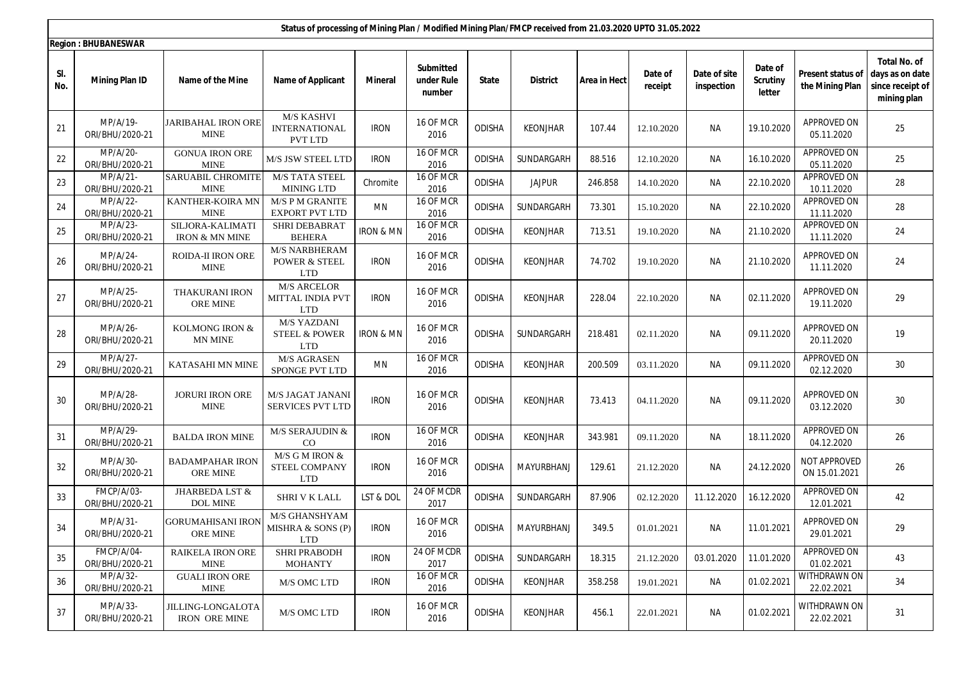|            | Status of processing of Mining Plan / Modified Mining Plan/FMCP received from 21.03.2020 UPTO 31.05.2022 |                                                  |                                                              |                      |                                   |               |                 |              |                    |                            |                                      |                                      |                                                                           |
|------------|----------------------------------------------------------------------------------------------------------|--------------------------------------------------|--------------------------------------------------------------|----------------------|-----------------------------------|---------------|-----------------|--------------|--------------------|----------------------------|--------------------------------------|--------------------------------------|---------------------------------------------------------------------------|
|            | <b>Region: BHUBANESWAR</b>                                                                               |                                                  |                                                              |                      |                                   |               |                 |              |                    |                            |                                      |                                      |                                                                           |
| SI.<br>No. | <b>Mining Plan ID</b>                                                                                    | Name of the Mine                                 | <b>Name of Applicant</b>                                     | <b>Mineral</b>       | Submitted<br>under Rule<br>number | State         | <b>District</b> | Area in Hect | Date of<br>receipt | Date of site<br>inspection | Date of<br><b>Scrutiny</b><br>letter | Present status of<br>the Mining Plan | <b>Total No. of</b><br>days as on date<br>since receipt of<br>mining plan |
| 21         | MP/A/19-<br>ORI/BHU/2020-21                                                                              | <b>JARIBAHAL IRON ORE</b><br><b>MINE</b>         | M/S KASHVI<br><b>INTERNATIONAL</b><br>PVT LTD                | <b>IRON</b>          | 16 OF MCR<br>2016                 | <b>ODISHA</b> | <b>KEONJHAR</b> | 107.44       | 12.10.2020         | <b>NA</b>                  | 19.10.2020                           | APPROVED ON<br>05.11.2020            | 25                                                                        |
| 22         | MP/A/20-<br>ORI/BHU/2020-21                                                                              | <b>GONUA IRON ORE</b><br><b>MINE</b>             | M/S JSW STEEL LTD                                            | <b>IRON</b>          | 16 OF MCR<br>2016                 | <b>ODISHA</b> | SUNDARGARH      | 88.516       | 12.10.2020         | NА                         | 16.10.2020                           | APPROVED ON<br>05.11.2020            | 25                                                                        |
| 23         | MP/A/21-<br>ORI/BHU/2020-21                                                                              | <b>SARUABIL CHROMITE</b><br><b>MINE</b>          | <b>M/S TATA STEEL</b><br><b>MINING LTD</b>                   | Chromite             | 16 OF MCR<br>2016                 | <b>ODISHA</b> | <b>JAJPUR</b>   | 246.858      | 14.10.2020         | NА                         | 22.10.2020                           | APPROVED ON<br>10.11.2020            | 28                                                                        |
| 24         | MP/A/22-<br>ORI/BHU/2020-21                                                                              | KANTHER-KOIRA MN<br><b>MINE</b>                  | <b>M/S P M GRANITE</b><br><b>EXPORT PVT LTD</b>              | MN                   | 16 OF MCR<br>2016                 | <b>ODISHA</b> | SUNDARGARH      | 73.301       | 15.10.2020         | NА                         | 22.10.2020                           | APPROVED ON<br>11.11.2020            | 28                                                                        |
| 25         | MP/A/23-<br>ORI/BHU/2020-21                                                                              | SILJORA-KALIMATI<br><b>IRON &amp; MN MINE</b>    | <b>SHRI DEBABRAT</b><br><b>BEHERA</b>                        | <b>IRON &amp; MN</b> | 16 OF MCR<br>2016                 | <b>ODISHA</b> | <b>KEONJHAR</b> | 713.51       | 19.10.2020         | <b>NA</b>                  | 21.10.2020                           | APPROVED ON<br>11.11.2020            | 24                                                                        |
| 26         | MP/A/24-<br>ORI/BHU/2020-21                                                                              | <b>ROIDA-II IRON ORE</b><br><b>MINE</b>          | M/S NARBHERAM<br>POWER & STEEL<br><b>LTD</b>                 | <b>IRON</b>          | 16 OF MCR<br>2016                 | <b>ODISHA</b> | <b>KEONJHAR</b> | 74.702       | 19.10.2020         | <b>NA</b>                  | 21.10.2020                           | APPROVED ON<br>11.11.2020            | 24                                                                        |
| 27         | MP/A/25-<br>ORI/BHU/2020-21                                                                              | <b>THAKURANI IRON</b><br>ORE MINE                | <b>M/S ARCELOR</b><br><b>MITTAL INDIA PVT</b><br><b>LTD</b>  | <b>IRON</b>          | 16 OF MCR<br>2016                 | <b>ODISHA</b> | <b>KEONJHAR</b> | 228.04       | 22.10.2020         | NА                         | 02.11.2020                           | APPROVED ON<br>19.11.2020            | 29                                                                        |
| 28         | MP/A/26-<br>ORI/BHU/2020-21                                                                              | KOLMONG IRON $\&$<br>MN MINE                     | <b>M/S YAZDANI</b><br><b>STEEL &amp; POWER</b><br><b>LTD</b> | <b>IRON &amp; MN</b> | 16 OF MCR<br>2016                 | <b>ODISHA</b> | SUNDARGARH      | 218.481      | 02.11.2020         | NА                         | 09.11.2020                           | APPROVED ON<br>20.11.2020            | 19                                                                        |
| 29         | MP/A/27-<br>ORI/BHU/2020-21                                                                              | KATASAHI MN MINE                                 | M/S AGRASEN<br>SPONGE PVT LTD                                | MN                   | 16 OF MCR<br>2016                 | <b>ODISHA</b> | <b>KEONJHAR</b> | 200.509      | 03.11.2020         | <b>NA</b>                  | 09.11.2020                           | APPROVED ON<br>02.12.2020            | 30                                                                        |
| 30         | MP/A/28-<br>ORI/BHU/2020-21                                                                              | <b>JORURI IRON ORE</b><br><b>MINE</b>            | M/S JAGAT JANANI<br><b>SERVICES PVT LTD</b>                  | <b>IRON</b>          | 16 OF MCR<br>2016                 | <b>ODISHA</b> | KEONJHAR        | 73.413       | 04.11.2020         | NА                         | 09.11.2020                           | APPROVED ON<br>03.12.2020            | 30                                                                        |
| 31         | MP/A/29-<br>ORI/BHU/2020-21                                                                              | <b>BALDA IRON MINE</b>                           | M/S SERAJUDIN &<br>$_{\rm CO}$                               | <b>IRON</b>          | 16 OF MCR<br>2016                 | <b>ODISHA</b> | KEONJHAR        | 343.981      | 09.11.2020         | <b>NA</b>                  | 18.11.2020                           | APPROVED ON<br>04.12.2020            | 26                                                                        |
| 32         | MP/A/30-<br>ORI/BHU/2020-21                                                                              | <b>BADAMPAHAR IRON</b><br>ORE MINE               | M/S G M IRON $&$<br>STEEL COMPANY<br>LTD                     | <b>IRON</b>          | 16 OF MCR<br>2016                 | <b>ODISHA</b> | MAYURBHANJ      | 129.61       | 21.12.2020         | <b>NA</b>                  | 24.12.2020                           | NOT APPROVED<br>ON 15.01.2021        | 26                                                                        |
| 33         | FMCP/A/03-<br>ORI/BHU/2020-21                                                                            | JHARBEDA LST &<br><b>DOL MINE</b>                | SHRI V K LALL                                                | LST & DOL            | 24 OF MCDR<br>2017                | <b>ODISHA</b> | SUNDARGARH      | 87.906       | 02.12.2020         | 11.12.2020                 | 16.12.2020                           | APPROVED ON<br>12.01.2021            | 42                                                                        |
| 34         | $MP/A/31-$<br>ORI/BHU/2020-21                                                                            | <b>GORUMAHISANI IRON</b><br>ORE MINE             | M/S GHANSHYAM<br>MISHRA & SONS (P)<br><b>LTD</b>             | <b>IRON</b>          | 16 OF MCR<br>2016                 | <b>ODISHA</b> | MAYURBHANJ      | 349.5        | 01.01.2021         | NА                         | 11.01.2021                           | APPROVED ON<br>29.01.2021            | 29                                                                        |
| 35         | FMCP/A/04-<br>ORI/BHU/2020-21                                                                            | <b>RAIKELA IRON ORE</b><br><b>MINE</b>           | <b>SHRI PRABODH</b><br><b>MOHANTY</b>                        | <b>IRON</b>          | 24 OF MCDR<br>2017                | ODISHA        | SUNDARGARH      | 18.315       | 21.12.2020         | 03.01.2020                 | 11.01.2020                           | APPROVED ON<br>01.02.2021            | 43                                                                        |
| 36         | MP/A/32-<br>ORI/BHU/2020-21                                                                              | <b>GUALI IRON ORE</b><br><b>MINE</b>             | M/S OMC LTD                                                  | <b>IRON</b>          | 16 OF MCR<br>2016                 | <b>ODISHA</b> | <b>KEONJHAR</b> | 358.258      | 19.01.2021         | NA                         | 01.02.2021                           | WITHDRAWN ON<br>22.02.2021           | 34                                                                        |
| 37         | MP/A/33-<br>ORI/BHU/2020-21                                                                              | <b>JILLING-LONGALOTA</b><br><b>IRON ORE MINE</b> | M/S OMC LTD                                                  | <b>IRON</b>          | 16 OF MCR<br>2016                 | ODISHA        | <b>KEONJHAR</b> | 456.1        | 22.01.2021         | NA                         | 01.02.2021                           | WITHDRAWN ON<br>22.02.2021           | 31                                                                        |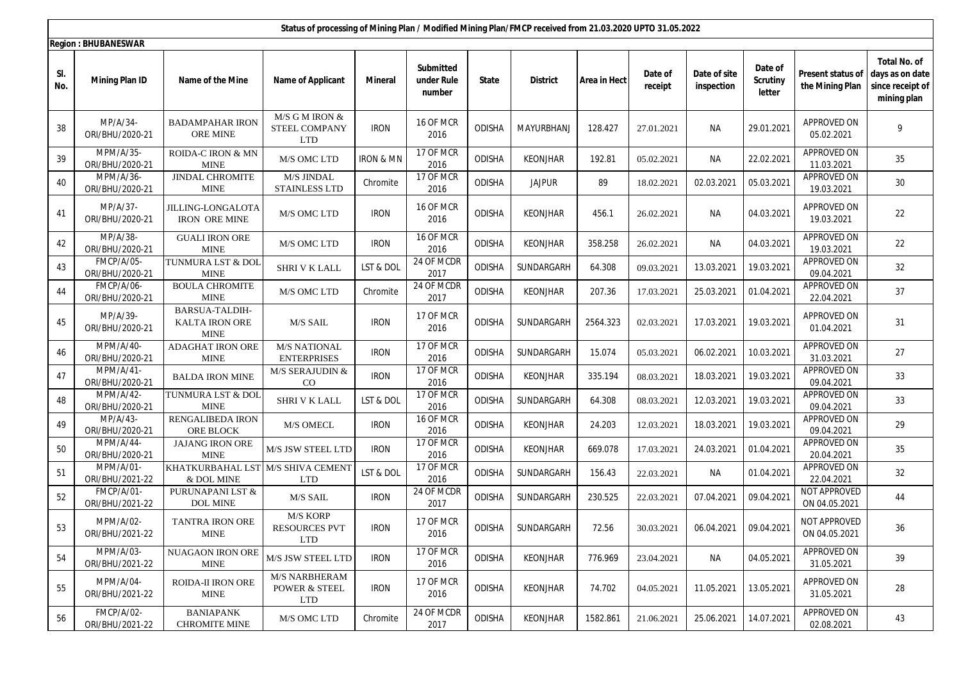|            | Status of processing of Mining Plan / Modified Mining Plan/FMCP received from 21.03.2020 UPTO 31.05.2022 |                                                  |                                                                |                      |                                   |               |                 |              |                    |                            |                                      |                                      |                                                                           |
|------------|----------------------------------------------------------------------------------------------------------|--------------------------------------------------|----------------------------------------------------------------|----------------------|-----------------------------------|---------------|-----------------|--------------|--------------------|----------------------------|--------------------------------------|--------------------------------------|---------------------------------------------------------------------------|
|            | <b>Region: BHUBANESWAR</b>                                                                               |                                                  |                                                                |                      |                                   |               |                 |              |                    |                            |                                      |                                      |                                                                           |
| SI.<br>No. | <b>Mining Plan ID</b>                                                                                    | Name of the Mine                                 | <b>Name of Applicant</b>                                       | <b>Mineral</b>       | Submitted<br>under Rule<br>number | State         | <b>District</b> | Area in Hect | Date of<br>receipt | Date of site<br>inspection | Date of<br><b>Scrutiny</b><br>letter | Present status of<br>the Mining Plan | <b>Total No. of</b><br>days as on date<br>since receipt of<br>mining plan |
| 38         | MP/A/34-<br>ORI/BHU/2020-21                                                                              | <b>BADAMPAHAR IRON</b><br><b>ORE MINE</b>        | $M/S$ G M IRON $&$<br>STEEL COMPANY<br><b>LTD</b>              | <b>IRON</b>          | 16 OF MCR<br>2016                 | <b>ODISHA</b> | MAYURBHANJ      | 128.427      | 27.01.2021         | <b>NA</b>                  | 29.01.2021                           | APPROVED ON<br>05.02.2021            | 9                                                                         |
| 39         | MPM/A/35-<br>ORI/BHU/2020-21                                                                             | ROIDA-C IRON & MN<br><b>MINE</b>                 | M/S OMC LTD                                                    | <b>IRON &amp; MN</b> | 17 OF MCR<br>2016                 | <b>ODISHA</b> | <b>KEONJHAR</b> | 192.81       | 05.02.2021         | NА                         | 22.02.2021                           | APPROVED ON<br>11.03.2021            | 35                                                                        |
| 40         | MPM/A/36-<br>ORI/BHU/2020-21                                                                             | <b>JINDAL CHROMITE</b><br><b>MINE</b>            | M/S JINDAL<br><b>STAINLESS LTD</b>                             | Chromite             | 17 OF MCR<br>2016                 | <b>ODISHA</b> | <b>JAJPUR</b>   | 89           | 18.02.2021         | 02.03.2021                 | 05.03.2021                           | APPROVED ON<br>19.03.2021            | 30                                                                        |
| 41         | MP/A/37-<br>ORI/BHU/2020-21                                                                              | <b>JILLING-LONGALOTA</b><br><b>IRON ORE MINE</b> | M/S OMC LTD                                                    | <b>IRON</b>          | 16 OF MCR<br>2016                 | <b>ODISHA</b> | <b>KEONJHAR</b> | 456.1        | 26.02.2021         | <b>NA</b>                  | 04.03.2021                           | APPROVED ON<br>19.03.2021            | 22                                                                        |
| 42         | MP/A/38-<br>ORI/BHU/2020-21                                                                              | <b>GUALI IRON ORE</b><br><b>MINE</b>             | M/S OMC LTD                                                    | <b>IRON</b>          | 16 OF MCR<br>2016                 | <b>ODISHA</b> | <b>KEONJHAR</b> | 358.258      | 26.02.2021         | NА                         | 04.03.2021                           | APPROVED ON<br>19.03.2021            | 22                                                                        |
| 43         | FMCP/A/05-<br>ORI/BHU/2020-21                                                                            | TUNMURA LST & DOI<br><b>MINE</b>                 | <b>SHRI V K LALL</b>                                           | LST & DOL            | 24 OF MCDR<br>2017                | <b>ODISHA</b> | SUNDARGARH      | 64.308       | 09.03.2021         | 13.03.2021                 | 19.03.2021                           | APPROVED ON<br>09.04.2021            | 32                                                                        |
| 44         | FMCP/A/06-<br>ORI/BHU/2020-21                                                                            | <b>BOULA CHROMITE</b><br><b>MINE</b>             | M/S OMC LTD                                                    | Chromite             | 24 OF MCDR<br>2017                | ODISHA        | <b>KEONJHAR</b> | 207.36       | 17.03.2021         | 25.03.2021                 | 01.04.2021                           | APPROVED ON<br>22.04.2021            | 37                                                                        |
| 45         | MP/A/39-<br>ORI/BHU/2020-21                                                                              | BARSUA-TALDIH-<br>KALTA IRON ORE<br><b>MINE</b>  | M/S SAIL                                                       | <b>IRON</b>          | 17 OF MCR<br>2016                 | <b>ODISHA</b> | SUNDARGARH      | 2564.323     | 02.03.2021         | 17.03.2021                 | 19.03.2021                           | APPROVED ON<br>01.04.2021            | 31                                                                        |
| 46         | MPM/A/40-<br>ORI/BHU/2020-21                                                                             | <b>ADAGHAT IRON ORE</b><br><b>MINE</b>           | <b>M/S NATIONAL</b><br><b>ENTERPRISES</b>                      | <b>IRON</b>          | 17 OF MCR<br>2016                 | <b>ODISHA</b> | SUNDARGARH      | 15.074       | 05.03.2021         | 06.02.2021                 | 10.03.2021                           | APPROVED ON<br>31.03.2021            | 27                                                                        |
| 47         | MPM/A/41-<br>ORI/BHU/2020-21                                                                             | <b>BALDA IRON MINE</b>                           | M/S SERAJUDIN $\&$<br>CO                                       | <b>IRON</b>          | 17 OF MCR<br>2016                 | <b>ODISHA</b> | <b>KEONJHAR</b> | 335.194      | 08.03.2021         | 18.03.2021                 | 19.03.2021                           | APPROVED ON<br>09.04.2021            | 33                                                                        |
| 48         | MPM/A/42-<br>ORI/BHU/2020-21                                                                             | TUNMURA LST & DOI<br><b>MINE</b>                 | SHRI V K LALL                                                  | LST & DOL            | 17 OF MCR<br>2016                 | <b>ODISHA</b> | SUNDARGARH      | 64.308       | 08.03.2021         | 12.03.2021                 | 19.03.2021                           | <b>APPROVED ON</b><br>09.04.2021     | 33                                                                        |
| 49         | MP/A/43-<br>ORI/BHU/2020-21                                                                              | RENGALIBEDA IRON<br>ORE BLOCK                    | <b>M/S OMECL</b>                                               | <b>IRON</b>          | 16 OF MCR<br>2016                 | <b>ODISHA</b> | <b>KEONJHAR</b> | 24.203       | 12.03.2021         | 18.03.2021                 | 19.03.2021                           | APPROVED ON<br>09.04.2021            | 29                                                                        |
| 50         | MPM/A/44-<br>ORI/BHU/2020-21                                                                             | <b>JAJANG IRON ORE</b><br><b>MINE</b>            | M/S JSW STEEL LTD                                              | <b>IRON</b>          | 17 OF MCR<br>2016                 | ODISHA        | <b>KEONJHAR</b> | 669.078      | 17.03.2021         | 24.03.2021                 | 01.04.2021                           | <b>APPROVED ON</b><br>20.04.2021     | 35                                                                        |
| 51         | MPM/A/01-<br>ORI/BHU/2021-22                                                                             | KHATKURBAHAL LST M/S SHIVA CEMENT<br>& DOL MINE  | <b>LTD</b>                                                     | LST & DOL            | 17 OF MCR<br>2016                 | <b>ODISHA</b> | SUNDARGARH      | 156.43       | 22.03.2021         | <b>NA</b>                  | 01.04.2021                           | APPROVED ON<br>22.04.2021            | 32                                                                        |
| 52         | FMCP/A/01-<br>ORI/BHU/2021-22                                                                            | PURUNAPANI LST &<br><b>DOL MINE</b>              | M/S SAIL                                                       | <b>IRON</b>          | 24 OF MCDR<br>2017                | ODISHA        | SUNDARGARH      | 230.525      | 22.03.2021         | 07.04.2021                 | 09.04.2021                           | NOT APPROVED<br>ON 04.05.2021        | 44                                                                        |
| 53         | MPM/A/02-<br>ORI/BHU/2021-22                                                                             | TANTRA IRON ORE<br>MINE                          | M/S KORP<br><b>RESOURCES PVT</b><br><b>LTD</b>                 | <b>IRON</b>          | 17 OF MCR<br>2016                 | <b>ODISHA</b> | SUNDARGARH      | 72.56        | 30.03.2021         | 06.04.2021                 | 09.04.2021                           | NOT APPROVED<br>ON 04.05.2021        | 36                                                                        |
| 54         | MPM/A/03-<br>ORI/BHU/2021-22                                                                             | <b>NUAGAON IRON ORE</b><br><b>MINE</b>           | M/S JSW STEEL LTD                                              | <b>IRON</b>          | 17 OF MCR<br>2016                 | <b>ODISHA</b> | <b>KEONJHAR</b> | 776.969      | 23.04.2021         | Na                         | 04.05.2021                           | APPROVED ON<br>31.05.2021            | 39                                                                        |
| 55         | MPM/A/04-<br>ORI/BHU/2021-22                                                                             | ROIDA-II IRON ORE<br><b>MINE</b>                 | <b>M/S NARBHERAM</b><br><b>POWER &amp; STEEL</b><br><b>LTD</b> | <b>IRON</b>          | 17 OF MCR<br>2016                 | <b>ODISHA</b> | KEONJHAR        | 74.702       | 04.05.2021         | 11.05.2021                 | 13.05.2021                           | APPROVED ON<br>31.05.2021            | 28                                                                        |
| 56         | FMCP/A/02-<br>ORI/BHU/2021-22                                                                            | <b>BANIAPANK</b><br><b>CHROMITE MINE</b>         | M/S OMC LTD                                                    | Chromite             | 24 OF MCDR<br>2017                | ODISHA        | KEONJHAR        | 1582.861     | 21.06.2021         | 25.06.2021                 | 14.07.2021                           | APPROVED ON<br>02.08.2021            | 43                                                                        |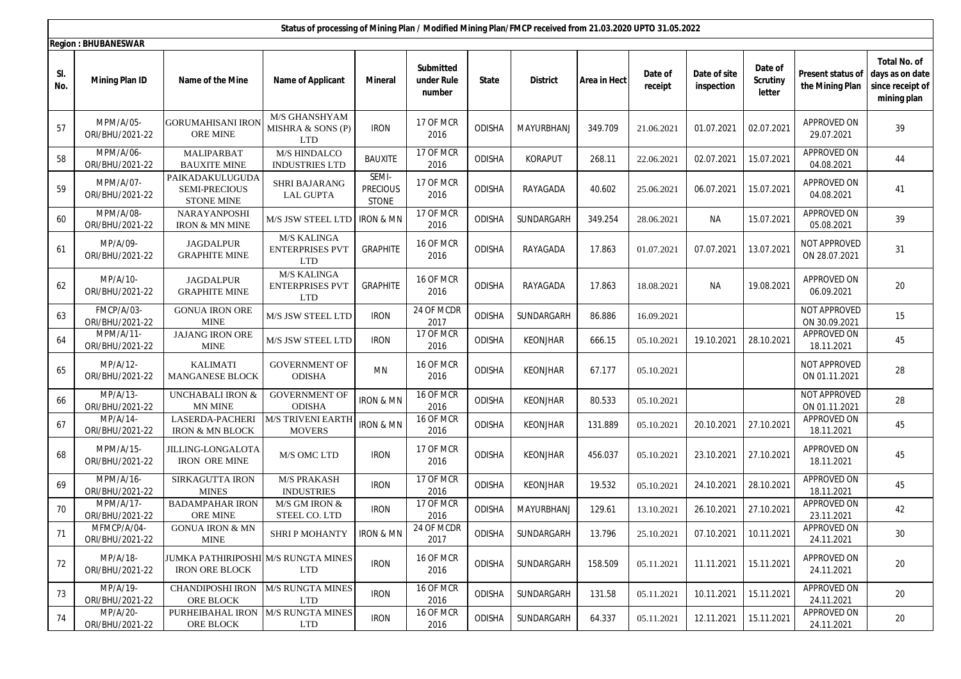|            | Status of processing of Mining Plan / Modified Mining Plan/FMCP received from 21.03.2020 UPTO 31.05.2022 |                                                              |                                                            |                                   |                                          |               |                 |              |                    |                            |                                      |                                      |                                                                           |
|------------|----------------------------------------------------------------------------------------------------------|--------------------------------------------------------------|------------------------------------------------------------|-----------------------------------|------------------------------------------|---------------|-----------------|--------------|--------------------|----------------------------|--------------------------------------|--------------------------------------|---------------------------------------------------------------------------|
|            | <b>Region: BHUBANESWAR</b>                                                                               |                                                              |                                                            |                                   |                                          |               |                 |              |                    |                            |                                      |                                      |                                                                           |
| SI.<br>No. | <b>Mining Plan ID</b>                                                                                    | Name of the Mine                                             | <b>Name of Applicant</b>                                   | <b>Mineral</b>                    | <b>Submitted</b><br>under Rule<br>number | State         | <b>District</b> | Area in Hect | Date of<br>receipt | Date of site<br>inspection | Date of<br><b>Scrutiny</b><br>letter | Present status of<br>the Mining Plan | <b>Total No. of</b><br>days as on date<br>since receipt of<br>mining plan |
| 57         | MPM/A/05-<br>ORI/BHU/2021-22                                                                             | <b>GORUMAHISANI IRON</b><br><b>ORE MINE</b>                  | M/S GHANSHYAM<br>MISHRA & SONS (P)<br><b>LTD</b>           | <b>IRON</b>                       | 17 OF MCR<br>2016                        | <b>ODISHA</b> | MAYURBHANJ      | 349.709      | 21.06.2021         | 01.07.2021                 | 02.07.2021                           | APPROVED ON<br>29.07.2021            | 39                                                                        |
| 58         | MPM/A/06-<br>ORI/BHU/2021-22                                                                             | MALIPARBAT<br><b>BAUXITE MINE</b>                            | M/S HINDALCO<br><b>INDUSTRIES LTD</b>                      | BAUXITE                           | 17 OF MCR<br>2016                        | <b>ODISHA</b> | KORAPUT         | 268.11       | 22.06.2021         | 02.07.2021                 | 15.07.2021                           | APPROVED ON<br>04.08.2021            | 44                                                                        |
| 59         | MPM/A/07-<br>ORI/BHU/2021-22                                                                             | PAIKADAKULUGUDA<br>SEMI-PRECIOUS<br><b>STONE MINE</b>        | <b>SHRI BAJARANG</b><br><b>LAL GUPTA</b>                   | SEMI-<br><b>PRECIOUS</b><br>STONE | 17 OF MCR<br>2016                        | ODISHA        | RAYAGADA        | 40.602       | 25.06.2021         | 06.07.2021                 | 15.07.2021                           | APPROVED ON<br>04.08.2021            | 41                                                                        |
| 60         | MPM/A/08-<br>ORI/BHU/2021-22                                                                             | NARAYANPOSHI<br>IRON & MN MINE                               | M/S JSW STEEL LTD                                          | <b>IRON &amp; MN</b>              | 17 OF MCR<br>2016                        | <b>ODISHA</b> | SUNDARGARH      | 349.254      | 28.06.2021         | <b>NA</b>                  | 15.07.2021                           | APPROVED ON<br>05.08.2021            | 39                                                                        |
| 61         | MP/A/09-<br>ORI/BHU/2021-22                                                                              | <b>JAGDALPUR</b><br>GRAPHITE MINE                            | <b>M/S KALINGA</b><br><b>ENTERPRISES PVT</b><br><b>LTD</b> | <b>GRAPHITE</b>                   | 16 OF MCR<br>2016                        | <b>ODISHA</b> | RAYAGADA        | 17.863       | 01.07.2021         | 07.07.2021                 | 13.07.2021                           | NOT APPROVED<br>ON 28.07.2021        | 31                                                                        |
| 62         | MP/A/10-<br>ORI/BHU/2021-22                                                                              | <b>JAGDALPUR</b><br><b>GRAPHITE MINE</b>                     | M/S KALINGA<br><b>ENTERPRISES PVT</b><br><b>LTD</b>        | <b>GRAPHITE</b>                   | 16 OF MCR<br>2016                        | <b>ODISHA</b> | RAYAGADA        | 17.863       | 18.08.2021         | <b>NA</b>                  | 19.08.2021                           | APPROVED ON<br>06.09.2021            | 20                                                                        |
| 63         | FMCP/A/03-<br>ORI/BHU/2021-22                                                                            | <b>GONUA IRON ORE</b><br><b>MINE</b>                         | M/S JSW STEEL LTD                                          | <b>IRON</b>                       | 24 OF MCDR<br>2017                       | <b>ODISHA</b> | SUNDARGARH      | 86.886       | 16.09.2021         |                            |                                      | NOT APPROVED<br>ON 30.09.2021        | 15                                                                        |
| 64         | MPM/A/11-<br>ORI/BHU/2021-22                                                                             | JAJANG IRON ORE<br><b>MINE</b>                               | M/S JSW STEEL LTD                                          | <b>IRON</b>                       | 17 OF MCR<br>2016                        | <b>ODISHA</b> | <b>KEONJHAR</b> | 666.15       | 05.10.2021         | 19.10.2021                 | 28.10.2021                           | APPROVED ON<br>18.11.2021            | 45                                                                        |
| 65         | MP/A/12-<br>ORI/BHU/2021-22                                                                              | <b>KALIMATI</b><br>MANGANESE BLOCK                           | <b>GOVERNMENT OF</b><br><b>ODISHA</b>                      | MN                                | 16 OF MCR<br>2016                        | <b>ODISHA</b> | <b>KEONJHAR</b> | 67.177       | 05.10.2021         |                            |                                      | NOT APPROVED<br>ON 01.11.2021        | 28                                                                        |
| 66         | MP/A/13-<br>ORI/BHU/2021-22                                                                              | UNCHABALI IRON &<br>MN MINE                                  | GOVERNMENT OF<br><b>ODISHA</b>                             | <b>IRON &amp; MN</b>              | 16 OF MCR<br>2016                        | <b>ODISHA</b> | <b>KEONJHAR</b> | 80.533       | 05.10.2021         |                            |                                      | NOT APPROVED<br>ON 01.11.2021        | 28                                                                        |
| 67         | MP/A/14-<br>ORI/BHU/2021-22                                                                              | LASERDA-PACHERI<br>IRON & MN BLOCK                           | <b>M/S TRIVENI EARTH</b><br><b>MOVERS</b>                  | <b>IRON &amp; MN</b>              | 16 OF MCR<br>2016                        | <b>ODISHA</b> | <b>KEONJHAR</b> | 131.889      | 05.10.2021         | 20.10.2021                 | 27.10.2021                           | APPROVED ON<br>18.11.2021            | 45                                                                        |
| 68         | MPM/A/15-<br>ORI/BHU/2021-22                                                                             | <b>JILLING-LONGALOTA</b><br><b>IRON ORE MINE</b>             | M/S OMC LTD                                                | <b>IRON</b>                       | 17 OF MCR<br>2016                        | <b>ODISHA</b> | <b>KEONJHAR</b> | 456.037      | 05.10.2021         | 23.10.2021                 | 27.10.2021                           | APPROVED ON<br>18.11.2021            | 45                                                                        |
| 69         | MPM/A/16-<br>ORI/BHU/2021-22                                                                             | SIRKAGUTTA IRON<br><b>MINES</b>                              | <b>M/S PRAKASH</b><br><b>INDUSTRIES</b>                    | <b>IRON</b>                       | 17 OF MCR<br>2016                        | <b>ODISHA</b> | <b>KEONJHAR</b> | 19.532       | 05.10.2021         | 24.10.2021                 | 28.10.2021                           | APPROVED ON<br>18.11.2021            | 45                                                                        |
| 70         | MPM/A/17-<br>ORI/BHU/2021-22                                                                             | <b>BADAMPAHAR IRON</b><br><b>ORE MINE</b>                    | M/S GM IRON $\&$<br>STEEL CO. LTD                          | <b>IRON</b>                       | 17 OF MCR<br>2016                        | <b>ODISHA</b> | MAYURBHANJ      | 129.61       | 13.10.2021         | 26.10.2021                 | 27.10.2021                           | APPROVED ON<br>23.11.2021            | 42                                                                        |
| 71         | MFMCP/A/04-<br>ORI/BHU/2021-22                                                                           | <b>GONUA IRON &amp; MN</b><br><b>MINE</b>                    | SHRIP MOHANTY   IRON & MN                                  |                                   | 24 OF MCDR<br>2017                       | ODISHA        | SUNDARGARH      | 13.796       | 25.10.2021         | 07.10.2021                 | 10.11.2021                           | APPROVED ON<br>24.11.2021            | 30                                                                        |
| 72         | MP/A/18-<br>ORI/BHU/2021-22                                                                              | JUMKA PATHIRIPOSHI M/S RUNGTA MINES<br><b>IRON ORE BLOCK</b> | <b>LTD</b>                                                 | <b>IRON</b>                       | 16 OF MCR<br>2016                        | <b>ODISHA</b> | SUNDARGARH      | 158.509      | 05.11.2021         | 11.11.2021                 | 15.11.2021                           | APPROVED ON<br>24.11.2021            | 20                                                                        |
| 73         | MP/A/19-<br>ORI/BHU/2021-22                                                                              | <b>CHANDIPOSHI IRON</b><br>ORE BLOCK                         | <b>M/S RUNGTA MINES</b><br><b>LTD</b>                      | <b>IRON</b>                       | 16 OF MCR<br>2016                        | <b>ODISHA</b> | SUNDARGARH      | 131.58       | 05.11.2021         | 10.11.2021                 | 15.11.2021                           | APPROVED ON<br>24.11.2021            | 20                                                                        |
| 74         | MP/A/20-<br>ORI/BHU/2021-22                                                                              | PURHEIBAHAL IRON<br>ORE BLOCK                                | <b>M/S RUNGTA MINES</b><br><b>LTD</b>                      | <b>IRON</b>                       | 16 OF MCR<br>2016                        | <b>ODISHA</b> | SUNDARGARH      | 64.337       | 05.11.2021         | 12.11.2021                 | 15.11.2021                           | APPROVED ON<br>24.11.2021            | 20                                                                        |